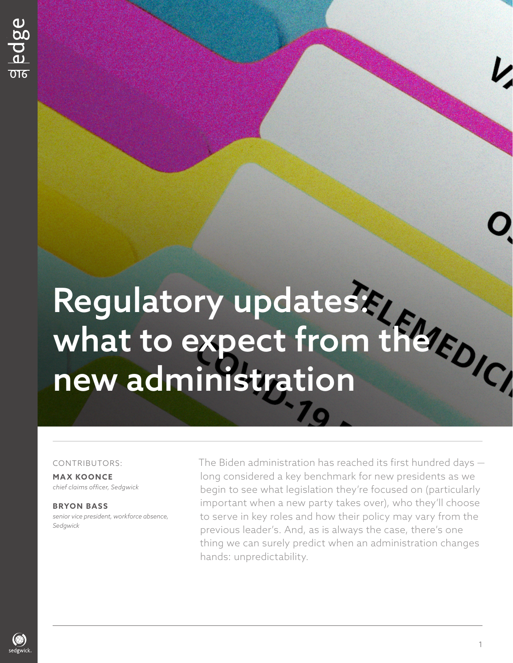# Regulatory updates: what to expect from the new administration

### CONTRIBUTORS:

**MAX KOONCE** *chief claims officer, Sedgwick*

**B RYON BASS**  *senior vice president, workforce absence, Sedgwick*

The Biden administration has reached its first hundred days long considered a key benchmark for new presidents as we begin to see what legislation they're focused on (particularly important when a new party takes over), who they'll choose to serve in key roles and how their policy may vary from the previous leader's. And, as is always the case, there's one thing we can surely predict when an administration changes hands: unpredictability.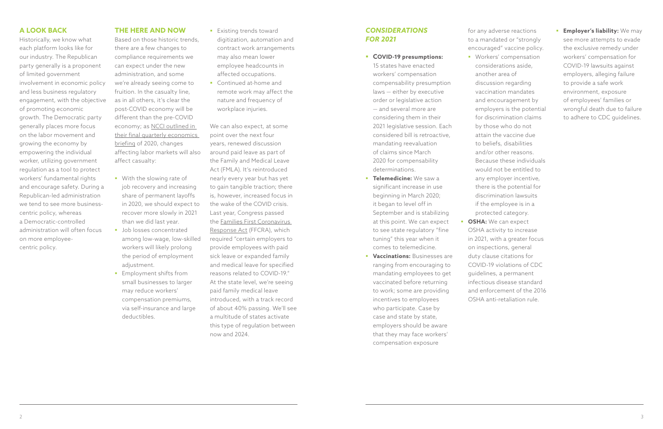# *CONSIDERATIONS FOR 2021*

### § **COVID-19 presumptions:**

15 states have enacted workers' compensation compensability presumption laws — either by executive order or legislative action — and several more are considering them in their 2021 legislative session. Each considered bill is retroactive, mandating reevaluation of claims since March 2020 for compensability determinations.

- **F Telemedicine:** We saw a significant increase in use beginning in March 2020; it began to level off in September and is stabilizing at this point. We can expect to see state regulatory "fine tuning" this year when it comes to telemedicine.
- **Vaccinations: Businesses are** ranging from encouraging to mandating employees to get vaccinated before returning to work; some are providing incentives to employees who participate. Case by case and state by state, employers should be aware that they may face workers' compensation exposure

**Employer's liability:** We may see more attempts to evade the exclusive remedy under workers' compensation for COVID-19 lawsuits against employers, alleging failure to provide a safe work environment, exposure of employees' families or wrongful death due to failure to adhere to CDC guidelines.

considerations aside, another area of discussion regarding vaccination mandates and encouragement by employers is the potential for discrimination claims by those who do not attain the vaccine due to beliefs, disabilities and/or other reasons. Because these individuals would not be entitled to any employer incentive, there is the potential for discrimination lawsuits if the employee is in a protected category.

for any adverse reactions to a mandated or "strongly encouraged" vaccine policy. **•** Workers' compensation **OSHA:** We can expect OSHA activity to increase in 2021, with a greater focus on inspections, general duty clause citations for COVID-19 violations of CDC guidelines, a permanent infectious disease standard and enforcement of the 2016 OSHA anti-retaliation rule.

- **•** With the slowing rate of job recovery and increasing share of permanent layoffs in 2020, we should expect to recover more slowly in 2021 than we did last year.
- **•** Job losses concentrated among low-wage, low-skilled workers will likely prolong the period of employment adjustment.
- **Employment shifts from** small businesses to larger may reduce workers' compensation premiums, via self-insurance and large deductibles.

**Existing trends toward** digitization, automation and contract work arrangements may also mean lower employee headcounts in affected occupations.

■ Continued at-home and remote work may affect the nature and frequency of workplace injuries.

# **A LOOK BACK**

Historically, we know what each platform looks like for our industry. The Republican party generally is a proponent of limited government involvement in economic policy and less business regulatory engagement, with the objective of promoting economic growth. The Democratic party generally places more focus on the labor movement and growing the economy by empowering the individual worker, utilizing government regulation as a tool to protect workers' fundamental rights and encourage safety. During a Republican-led administration we tend to see more businesscentric policy, whereas a Democratic-controlled administration will often focus on more employeecentric policy.

### **THE HERE AND NOW**

Based on those historic trends, there are a few changes to compliance requirements we can expect under the new administration, and some we're already seeing come to fruition. In the casualty line, as in all others, it's clear the post-COVID economy will be different than the pre-COVID economy; as NCCI outlined in [their final quarterly economics](https://www.ncci.com/SecureDocuments/QEB/II_Q42020_COVIDRecessionYearEnd.html)  briefing of 2020, changes affecting labor markets will also affect casualty:

We can also expect, at some point over the next four years, renewed discussion around paid leave as part of the Family and Medical Leave Act (FMLA). It's reintroduced nearly every year but has yet to gain tangible traction; there is, however, increased focus in the wake of the COVID crisis. Last year, Congress passed [the Families First Coronavirus](https://www.dol.gov/agencies/whd/pandemic/ffcra-employee-paid-leave)  Response Act (FFCRA), which required "certain employers to provide employees with paid sick leave or expanded family and medical leave for specified reasons related to COVID-19." At the state level, we're seeing paid family medical leave introduced, with a track record of about 40% passing. We'll see a multitude of states activate this type of regulation between now and 2024.